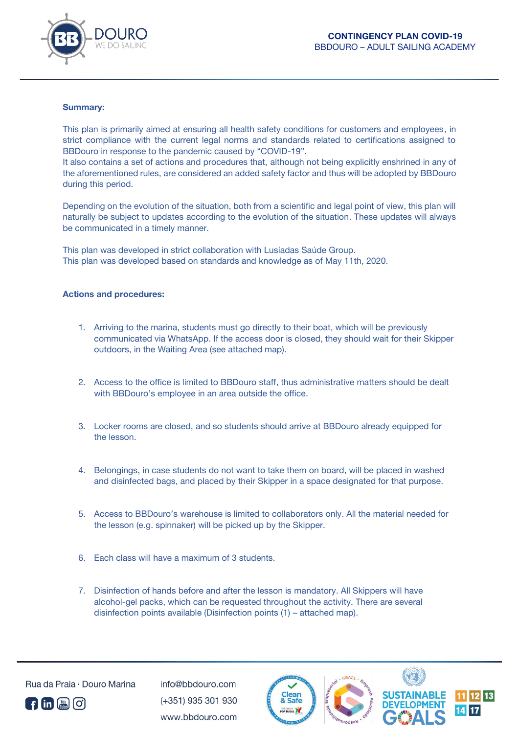

## **Summary:**

This plan is primarily aimed at ensuring all health safety conditions for customers and employees, in strict compliance with the current legal norms and standards related to certifications assigned to BBDouro in response to the pandemic caused by "COVID-19".

It also contains a set of actions and procedures that, although not being explicitly enshrined in any of the aforementioned rules, are considered an added safety factor and thus will be adopted by BBDouro during this period.

Depending on the evolution of the situation, both from a scientific and legal point of view, this plan will naturally be subject to updates according to the evolution of the situation. These updates will always be communicated in a timely manner.

This plan was developed in strict collaboration with Lusíadas Saúde Group. This plan was developed based on standards and knowledge as of May 11th, 2020.

## **Actions and procedures:**

- 1. Arriving to the marina, students must go directly to their boat, which will be previously communicated via WhatsApp. If the access door is closed, they should wait for their Skipper outdoors, in the Waiting Area (see attached map).
- 2. Access to the office is limited to BBDouro staff, thus administrative matters should be dealt with BBDouro's employee in an area outside the office.
- 3. Locker rooms are closed, and so students should arrive at BBDouro already equipped for the lesson.
- 4. Belongings, in case students do not want to take them on board, will be placed in washed and disinfected bags, and placed by their Skipper in a space designated for that purpose.
- 5. Access to BBDouro's warehouse is limited to collaborators only. All the material needed for the lesson (e.g. spinnaker) will be picked up by the Skipper.
- 6. Each class will have a maximum of 3 students.
- 7. Disinfection of hands before and after the lesson is mandatory. All Skippers will have alcohol-gel packs, which can be requested throughout the activity. There are several disinfection points available (Disinfection points (1) – attached map).



**A** fin **A** C

 $info@hhdouro.com$ (+351) 935 301 930 www.bbdouro.com

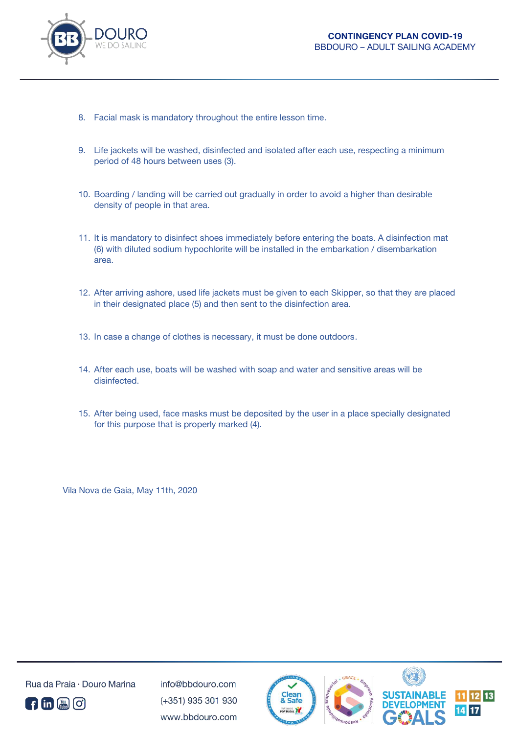

- 8. Facial mask is mandatory throughout the entire lesson time.
- 9. Life jackets will be washed, disinfected and isolated after each use, respecting a minimum period of 48 hours between uses (3).
- 10. Boarding / landing will be carried out gradually in order to avoid a higher than desirable density of people in that area.
- 11. It is mandatory to disinfect shoes immediately before entering the boats. A disinfection mat (6) with diluted sodium hypochlorite will be installed in the embarkation / disembarkation area.
- 12. After arriving ashore, used life jackets must be given to each Skipper, so that they are placed in their designated place (5) and then sent to the disinfection area.
- 13. In case a change of clothes is necessary, it must be done outdoors.
- 14. After each use, boats will be washed with soap and water and sensitive areas will be disinfected.
- 15. After being used, face masks must be deposited by the user in a place specially designated for this purpose that is properly marked (4).

Vila Nova de Gaia, May 11th, 2020



Rua da Praia · Douro Marina

 $info@hhdouro.com$ (+351) 935 301 930 www.bbdouro.com